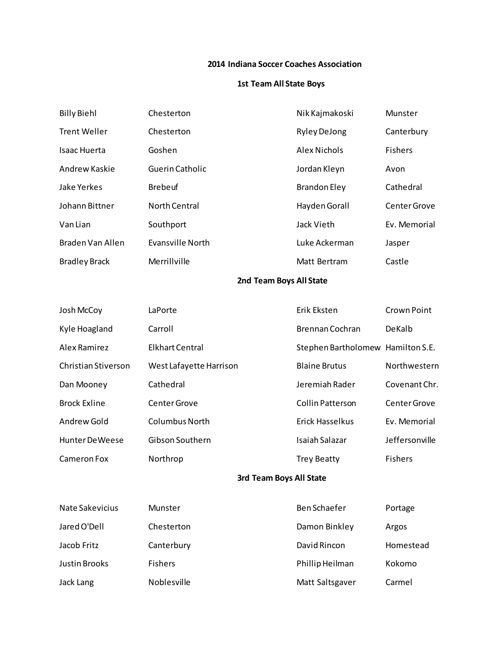#### **2014 Indiana Soccer Coaches Association**

### **1st Team All State Boys**

| <b>Billy Biehl</b>   | Chesterton           | Nik Kajmakoski      | Munster        |
|----------------------|----------------------|---------------------|----------------|
| <b>Trent Weller</b>  | Chesterton           | <b>Ryley DeJong</b> | Canterbury     |
| <b>Isaac Huerta</b>  | Goshen               | Alex Nichols        | <b>Fishers</b> |
| Andrew Kaskie        | Guerin Catholic      | Jordan Kleyn        | Avon           |
| Jake Yerkes          | <b>Brebeuf</b>       | <b>Brandon Eley</b> | Cathedral      |
| Johann Bittner       | <b>North Central</b> | Hayden Gorall       | Center Grove   |
| Van Lian             | Southport            | Jack Vieth          | Ev. Memorial   |
| Braden Van Allen     | Evansville North     | Luke Ackerman       | Jasper         |
| <b>Bradley Brack</b> | Merrillville         | Matt Bertram        | Castle         |
|                      |                      |                     |                |

### **2nd Team Boys All State**

| Josh McCoy             | LaPorte                 | Erik Eksten                       | Crown Point    |
|------------------------|-------------------------|-----------------------------------|----------------|
| Kyle Hoagland          | Carroll                 | Brennan Cochran                   | DeKalb         |
| Alex Ramirez           | <b>Elkhart Central</b>  | Stephen Bartholomew Hamilton S.E. |                |
| Christian Stiverson    | West Lafayette Harrison | <b>Blaine Brutus</b>              | Northwestern   |
| Dan Mooney             | Cathedral               | Jeremiah Rader                    | Covenant Chr.  |
| <b>Brock Exline</b>    | Center Grove            | Collin Patterson                  | Center Grove   |
| Andrew Gold            | <b>Columbus North</b>   | <b>Erick Hasselkus</b>            | Ev. Memorial   |
| <b>Hunter De Weese</b> | Gibson Southern         | Isaiah Salazar                    | Jeffersonville |
| Cameron Fox            | Northrop                | <b>Trey Beatty</b>                | <b>Fishers</b> |
|                        |                         |                                   |                |

# **3rd Team Boys All State**

| Nate Sakevicius      | Munster            | Ben Schaefer    | Portage   |
|----------------------|--------------------|-----------------|-----------|
| Jared O'Dell         | Chesterton         | Damon Binkley   | Argos     |
| Jacob Fritz          | Canterbury         | David Rincon    | Homestead |
| <b>Justin Brooks</b> | <b>Fishers</b>     | Phillip Heilman | Kokomo    |
| Jack Lang            | <b>Noblesville</b> | Matt Saltsgaver | Carmel    |